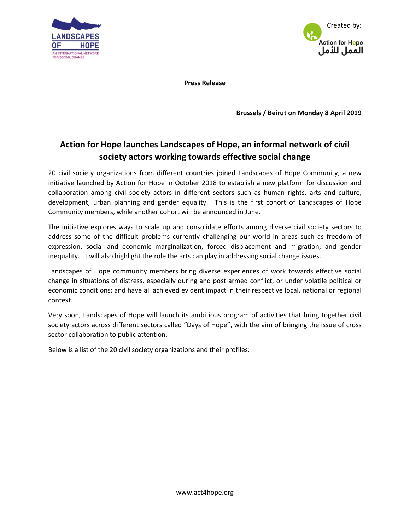



**Press Release**

**Brussels / Beirut on Monday 8 April 2019**

## **Action for Hope launches Landscapes of Hope, an informal network of civil society actors working towards effective social change**

20 civil society organizations from different countries joined Landscapes of Hope Community, a new initiative launched by Action for Hope in October 2018 to establish a new platform for discussion and collaboration among civil society actors in different sectors such as human rights, arts and culture, development, urban planning and gender equality. This is the first cohort of Landscapes of Hope Community members, while another cohort will be announced in June.

The initiative explores ways to scale up and consolidate efforts among diverse civil society sectors to address some of the difficult problems currently challenging our world in areas such as freedom of expression, social and economic marginalization, forced displacement and migration, and gender inequality. It will also highlight the role the arts can play in addressing social change issues.

Landscapes of Hope community members bring diverse experiences of work towards effective social change in situations of distress, especially during and post armed conflict, or under volatile political or economic conditions; and have all achieved evident impact in their respective local, national or regional context.

Very soon, Landscapes of Hope will launch its ambitious program of activities that bring together civil society actors across different sectors called "Days of Hope", with the aim of bringing the issue of cross sector collaboration to public attention.

Below is a list of the 20 civil society organizations and their profiles: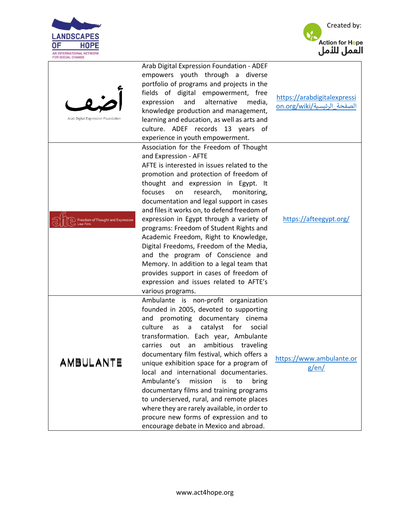



| Arab Digital Expression Foundation | Arab Digital Expression Foundation - ADEF<br>empowers youth through a diverse<br>portfolio of programs and projects in the<br>fields of digital empowerment, free<br>alternative<br>and<br>expression<br>media,<br>knowledge production and management,<br>learning and education, as well as arts and<br>culture. ADEF records 13 years of<br>experience in youth empowerment.                                                                                                                                                                                                                                                                                                                                | https://arabdigitalexpressi<br>on.org/wiki/أيسية/on.org/ |
|------------------------------------|----------------------------------------------------------------------------------------------------------------------------------------------------------------------------------------------------------------------------------------------------------------------------------------------------------------------------------------------------------------------------------------------------------------------------------------------------------------------------------------------------------------------------------------------------------------------------------------------------------------------------------------------------------------------------------------------------------------|----------------------------------------------------------|
| Freedom of Thought and Expression  | Association for the Freedom of Thought<br>and Expression - AFTE<br>AFTE is interested in issues related to the<br>promotion and protection of freedom of<br>thought and expression in Egypt. It<br>focuses<br>research,<br>on<br>monitoring,<br>documentation and legal support in cases<br>and files it works on, to defend freedom of<br>expression in Egypt through a variety of<br>programs: Freedom of Student Rights and<br>Academic Freedom, Right to Knowledge,<br>Digital Freedoms, Freedom of the Media,<br>and the program of Conscience and<br>Memory. In addition to a legal team that<br>provides support in cases of freedom of<br>expression and issues related to AFTE's<br>various programs. | https://afteegypt.org/                                   |
| AMBULANTE                          | Ambulante is non-profit organization<br>founded in 2005, devoted to supporting<br>promoting<br>documentary cinema<br>and<br>culture<br>catalyst<br>for<br>social<br>as<br>a<br>transformation. Each year, Ambulante<br>ambitious traveling<br>carries<br>out<br>an<br>documentary film festival, which offers a<br>unique exhibition space for a program of<br>local and international documentaries.<br>Ambulante's<br>mission<br>is<br>to<br>bring<br>documentary films and training programs<br>to underserved, rural, and remote places<br>where they are rarely available, in order to<br>procure new forms of expression and to<br>encourage debate in Mexico and abroad.                                | https://www.ambulante.or<br>g/en/                        |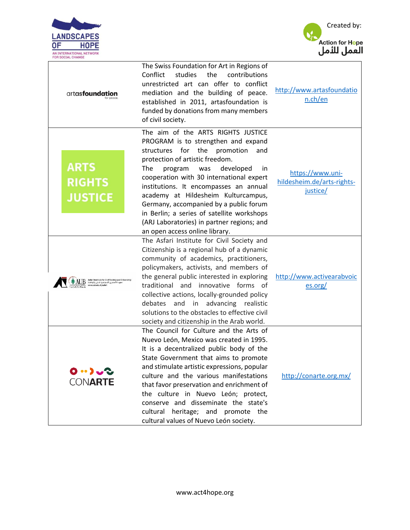



| artasfoundation<br>for peace                                                                                       | The Swiss Foundation for Art in Regions of<br>Conflict<br>studies<br>the<br>contributions<br>unrestricted art can offer to conflict<br>mediation and the building of peace.<br>established in 2011, artasfoundation is<br>funded by donations from many members<br>of civil society.                                                                                                                                                                                                                        | http://www.artasfoundatio<br>n.ch/en                       |
|--------------------------------------------------------------------------------------------------------------------|-------------------------------------------------------------------------------------------------------------------------------------------------------------------------------------------------------------------------------------------------------------------------------------------------------------------------------------------------------------------------------------------------------------------------------------------------------------------------------------------------------------|------------------------------------------------------------|
| <b>ARTS</b><br><b>RIGHTS</b><br><b>JUSTICE</b>                                                                     | The aim of the ARTS RIGHTS JUSTICE<br>PROGRAM is to strengthen and expand<br>structures for<br>the<br>promotion<br>and<br>protection of artistic freedom.<br>The<br>developed<br>program<br>was<br>in.<br>cooperation with 30 international expert<br>institutions. It encompasses an annual<br>academy at Hildesheim Kulturcampus,<br>Germany, accompanied by a public forum<br>in Berlin; a series of satellite workshops<br>(ARJ Laboratories) in partner regions; and<br>an open access online library. | https://www.uni-<br>hildesheim.de/arts-rights-<br>justice/ |
| Asfari Institute for Civil Society and Citizenship<br>معهد الأصطري للمجتمع الدنى والواطنة<br>www.aub.edu.lb/asfari | The Asfari Institute for Civil Society and<br>Citizenship is a regional hub of a dynamic<br>community of academics, practitioners,<br>policymakers, activists, and members of<br>the general public interested in exploring<br>traditional and<br>innovative forms of<br>collective actions, locally-grounded policy<br>debates<br>and in advancing realistic<br>solutions to the obstacles to effective civil<br>society and citizenship in the Arab world.                                                | http://www.activearabvoic<br>es.org/                       |
| ついしむ<br><b>CONARTE</b>                                                                                             | The Council for Culture and the Arts of<br>Nuevo León, Mexico was created in 1995.<br>It is a decentralized public body of the<br>State Government that aims to promote<br>and stimulate artistic expressions, popular<br>culture and the various manifestations<br>that favor preservation and enrichment of<br>the culture in Nuevo León; protect,<br>conserve and disseminate the state's<br>cultural heritage; and promote the<br>cultural values of Nuevo León society.                                | http://conarte.org.mx/                                     |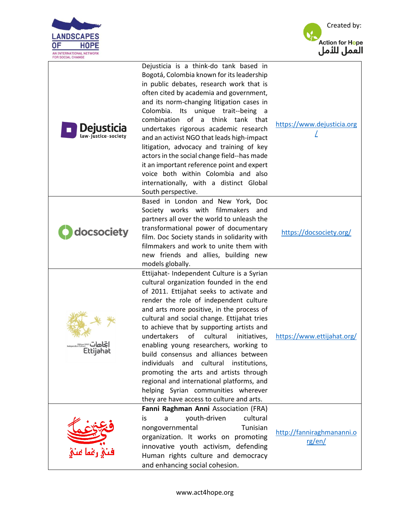



| <b>Dejusticia</b><br>law · justice · society | Dejusticia is a think-do tank based in<br>Bogotá, Colombia known for its leadership<br>in public debates, research work that is<br>often cited by academia and government,<br>and its norm-changing litigation cases in<br>Colombia. Its unique trait--being<br>- a<br>combination of a think tank that<br>undertakes rigorous academic research<br>and an activist NGO that leads high-impact<br>litigation, advocacy and training of key<br>actors in the social change field--has made<br>it an important reference point and expert<br>voice both within Colombia and also<br>internationally, with a distinct Global<br>South perspective.                                      | https://www.dejusticia.org          |
|----------------------------------------------|--------------------------------------------------------------------------------------------------------------------------------------------------------------------------------------------------------------------------------------------------------------------------------------------------------------------------------------------------------------------------------------------------------------------------------------------------------------------------------------------------------------------------------------------------------------------------------------------------------------------------------------------------------------------------------------|-------------------------------------|
| docsociety                                   | Based in London and New York, Doc<br>Society works with<br>filmmakers<br>and<br>partners all over the world to unleash the<br>transformational power of documentary<br>film. Doc Society stands in solidarity with<br>filmmakers and work to unite them with<br>new friends and allies, building new<br>models globally.                                                                                                                                                                                                                                                                                                                                                             | https://docsociety.org/             |
| Ettiiahat                                    | Ettijahat- Independent Culture is a Syrian<br>cultural organization founded in the end<br>of 2011. Ettijahat seeks to activate and<br>render the role of independent culture<br>and arts more positive, in the process of<br>cultural and social change. Ettijahat tries<br>to achieve that by supporting artists and<br>undertakers<br>of cultural<br>initiatives.<br>enabling young researchers, working to<br>build consensus and alliances between<br>cultural<br>individuals<br>and<br>institutions,<br>promoting the arts and artists through<br>regional and international platforms, and<br>helping Syrian communities wherever<br>they are have access to culture and arts. | https://www.ettijahat.org/          |
|                                              | Fanni Raghman Anni Association (FRA)<br>youth-driven<br>cultural<br>is<br>a<br>nongovernmental<br>Tunisian<br>organization. It works on promoting<br>innovative youth activism, defending<br>Human rights culture and democracy<br>and enhancing social cohesion.                                                                                                                                                                                                                                                                                                                                                                                                                    | http://fanniraghmananni.o<br>rg/en/ |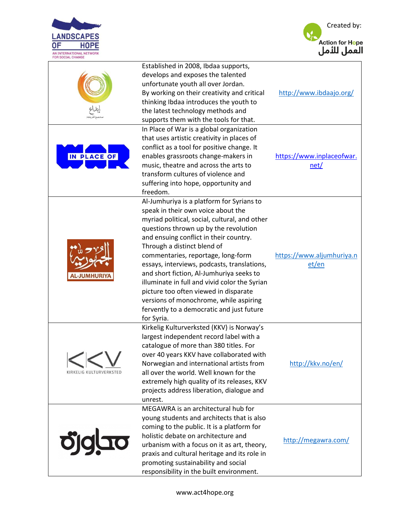



|                         | Established in 2008, Ibdaa supports,<br>develops and exposes the talented<br>unfortunate youth all over Jordan.<br>By working on their creativity and critical<br>thinking Ibdaa introduces the youth to<br>the latest technology methods and<br>supports them with the tools for that.                                                                                                                                                                                                                                                                                            | http://www.ibdaajo.org/            |
|-------------------------|------------------------------------------------------------------------------------------------------------------------------------------------------------------------------------------------------------------------------------------------------------------------------------------------------------------------------------------------------------------------------------------------------------------------------------------------------------------------------------------------------------------------------------------------------------------------------------|------------------------------------|
| <b>IN PLACE OF</b>      | In Place of War is a global organization<br>that uses artistic creativity in places of<br>conflict as a tool for positive change. It<br>enables grassroots change-makers in<br>music, theatre and across the arts to<br>transform cultures of violence and<br>suffering into hope, opportunity and<br>freedom.                                                                                                                                                                                                                                                                     | https://www.inplaceofwar.<br>net/  |
|                         | Al-Jumhuriya is a platform for Syrians to<br>speak in their own voice about the<br>myriad political, social, cultural, and other<br>questions thrown up by the revolution<br>and ensuing conflict in their country.<br>Through a distinct blend of<br>commentaries, reportage, long-form<br>essays, interviews, podcasts, translations,<br>and short fiction, Al-Jumhuriya seeks to<br>illuminate in full and vivid color the Syrian<br>picture too often viewed in disparate<br>versions of monochrome, while aspiring<br>fervently to a democratic and just future<br>for Syria. | https://www.aljumhuriya.n<br>et/en |
| KIRKELIG KULTURVERKSTED | Kirkelig Kulturverksted (KKV) is Norway's<br>largest independent record label with a<br>catalogue of more than 380 titles. For<br>over 40 years KKV have collaborated with<br>Norwegian and international artists from<br>all over the world. Well known for the<br>extremely high quality of its releases, KKV<br>projects address liberation, dialogue and<br>unrest.                                                                                                                                                                                                            | http://kkv.no/en/                  |
| <u>öjglao</u>           | MEGAWRA is an architectural hub for<br>young students and architects that is also<br>coming to the public. It is a platform for<br>holistic debate on architecture and<br>urbanism with a focus on it as art, theory,<br>praxis and cultural heritage and its role in<br>promoting sustainability and social<br>responsibility in the built environment.                                                                                                                                                                                                                           | http://megawra.com/                |

www.act4hope.org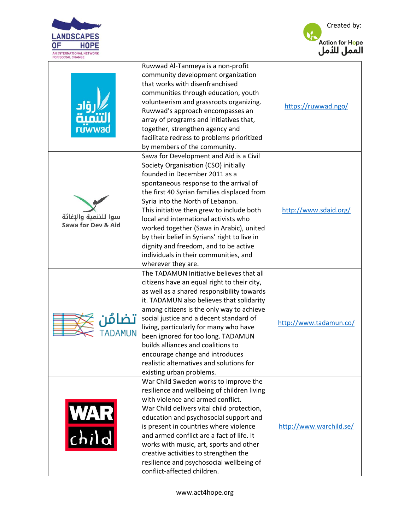



| ruwwad                                     | Ruwwad Al-Tanmeya is a non-profit<br>community development organization<br>that works with disenfranchised<br>communities through education, youth<br>volunteerism and grassroots organizing.<br>Ruwwad's approach encompasses an<br>array of programs and initiatives that,<br>together, strengthen agency and<br>facilitate redress to problems prioritized<br>by members of the community.                                                                                                                                           | https://ruwwad.ngo/     |
|--------------------------------------------|-----------------------------------------------------------------------------------------------------------------------------------------------------------------------------------------------------------------------------------------------------------------------------------------------------------------------------------------------------------------------------------------------------------------------------------------------------------------------------------------------------------------------------------------|-------------------------|
| سوا للتنمية والإغاثة<br>Sawa for Dev & Aid | Sawa for Development and Aid is a Civil<br>Society Organisation (CSO) initially<br>founded in December 2011 as a<br>spontaneous response to the arrival of<br>the first 40 Syrian families displaced from<br>Syria into the North of Lebanon.<br>This initiative then grew to include both<br>local and international activists who<br>worked together (Sawa in Arabic), united<br>by their belief in Syrians' right to live in<br>dignity and freedom, and to be active<br>individuals in their communities, and<br>wherever they are. | http://www.sdaid.org/   |
| DAMUN                                      | The TADAMUN Initiative believes that all<br>citizens have an equal right to their city,<br>as well as a shared responsibility towards<br>it. TADAMUN also believes that solidarity<br>among citizens is the only way to achieve<br>social justice and a decent standard of<br>living, particularly for many who have<br>been ignored for too long. TADAMUN<br>builds alliances and coalitions to<br>encourage change and introduces<br>realistic alternatives and solutions for<br>existing urban problems.                             | http://www.tadamun.co/  |
| WAR<br>Child                               | War Child Sweden works to improve the<br>resilience and wellbeing of children living<br>with violence and armed conflict.<br>War Child delivers vital child protection,<br>education and psychosocial support and<br>is present in countries where violence<br>and armed conflict are a fact of life. It<br>works with music, art, sports and other<br>creative activities to strengthen the<br>resilience and psychosocial wellbeing of<br>conflict-affected children.                                                                 | http://www.warchild.se/ |

www.act4hope.org